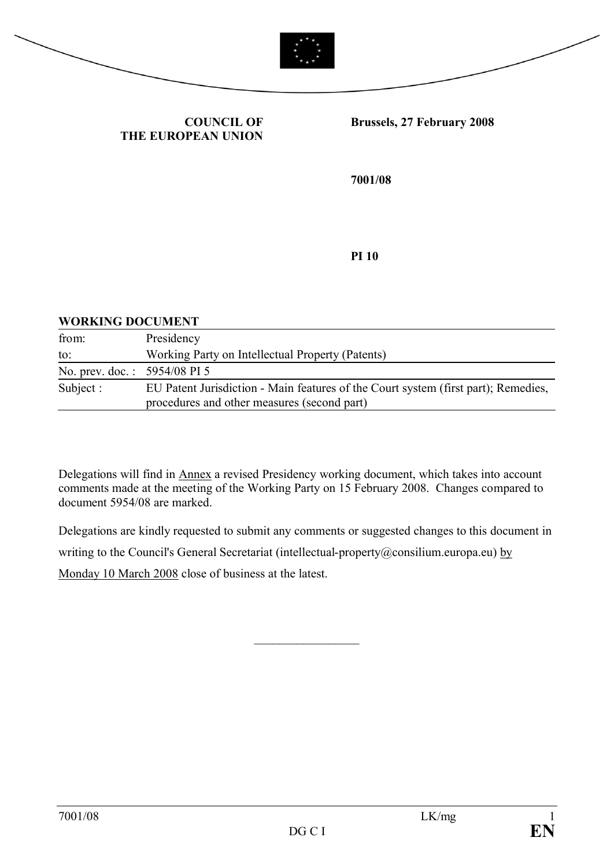



### **COUNCIL OF THE EUROPEAN UNION**

#### **Brussels, 27 February 2008**

**7001/08**

**PI 10**

### **WORKING DOCUMENT**

| from:                        | Presidency                                                                                                                        |
|------------------------------|-----------------------------------------------------------------------------------------------------------------------------------|
| to:                          | Working Party on Intellectual Property (Patents)                                                                                  |
| No. prev. doc.: 5954/08 PI 5 |                                                                                                                                   |
| Subject :                    | EU Patent Jurisdiction - Main features of the Court system (first part); Remedies,<br>procedures and other measures (second part) |

Delegations will find in Annex a revised Presidency working document, which takes into account comments made at the meeting of the Working Party on 15 February 2008. Changes compared to document 5954/08 are marked.

Delegations are kindly requested to submit any comments or suggested changes to this document in writing to the Council's General Secretariat (intellectual-property@consilium.europa.eu) by Monday 10 March 2008 close of business at the latest.

 $\frac{1}{2}$  ,  $\frac{1}{2}$  ,  $\frac{1}{2}$  ,  $\frac{1}{2}$  ,  $\frac{1}{2}$  ,  $\frac{1}{2}$  ,  $\frac{1}{2}$  ,  $\frac{1}{2}$  ,  $\frac{1}{2}$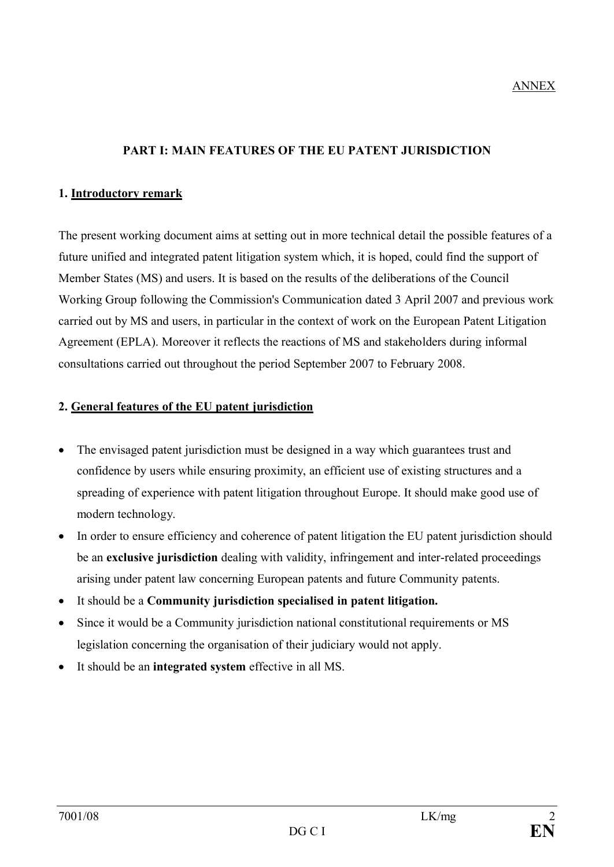### ANNEX

### **PART I: MAIN FEATURES OF THE EU PATENT JURISDICTION**

#### **1. Introductory remark**

The present working document aims at setting out in more technical detail the possible features of a future unified and integrated patent litigation system which, it is hoped, could find the support of Member States (MS) and users. It is based on the results of the deliberations of the Council Working Group following the Commission's Communication dated 3 April 2007 and previous work carried out by MS and users, in particular in the context of work on the European Patent Litigation Agreement (EPLA). Moreover it reflects the reactions of MS and stakeholders during informal consultations carried out throughout the period September 2007 to February 2008.

#### **2. General features of the EU patent jurisdiction**

- The envisaged patent jurisdiction must be designed in a way which guarantees trust and confidence by users while ensuring proximity, an efficient use of existing structures and a spreading of experience with patent litigation throughout Europe. It should make good use of modern technology.
- In order to ensure efficiency and coherence of patent litigation the EU patent jurisdiction should be an **exclusive jurisdiction** dealing with validity, infringement and inter-related proceedings arising under patent law concerning European patents and future Community patents.
- · It should be a **Community jurisdiction specialised in patent litigation.**
- Since it would be a Community jurisdiction national constitutional requirements or MS legislation concerning the organisation of their judiciary would not apply.
- · It should be an **integrated system** effective in all MS.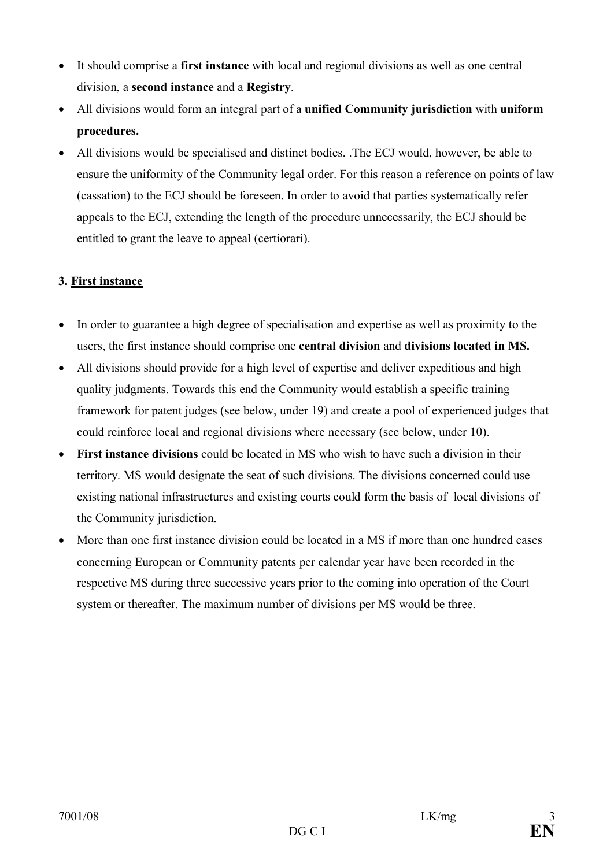- · It should comprise a **first instance** with local and regional divisions as well as one central division, a **second instance** and a **Registry**.
- · All divisions would form an integral part of a **unified Community jurisdiction** with **uniform procedures.**
- · All divisions would be specialised and distinct bodies. .The ECJ would, however, be able to ensure the uniformity of the Community legal order. For this reason a reference on points of law (cassation) to the ECJ should be foreseen. In order to avoid that parties systematically refer appeals to the ECJ, extending the length of the procedure unnecessarily, the ECJ should be entitled to grant the leave to appeal (certiorari).

# **3. First instance**

- · In order to guarantee a high degree of specialisation and expertise as well as proximity to the users, the first instance should comprise one **central division** and **divisions located in MS.**
- All divisions should provide for a high level of expertise and deliver expeditious and high quality judgments. Towards this end the Community would establish a specific training framework for patent judges (see below, under 19) and create a pool of experienced judges that could reinforce local and regional divisions where necessary (see below, under 10).
- · **First instance divisions** could be located in MS who wish to have such a division in their territory. MS would designate the seat of such divisions. The divisions concerned could use existing national infrastructures and existing courts could form the basis of local divisions of the Community jurisdiction.
- · More than one first instance division could be located in a MS if more than one hundred cases concerning European or Community patents per calendar year have been recorded in the respective MS during three successive years prior to the coming into operation of the Court system or thereafter. The maximum number of divisions per MS would be three.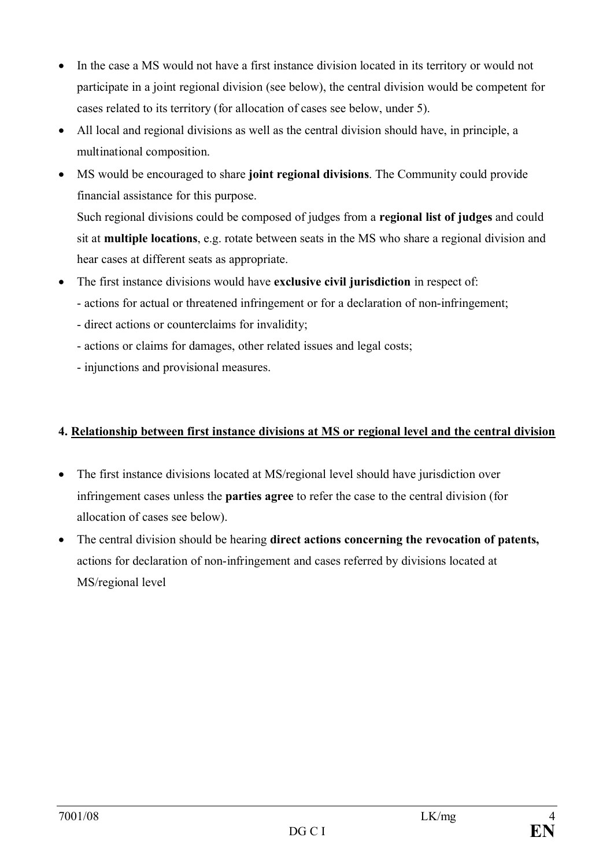- In the case a MS would not have a first instance division located in its territory or would not participate in a joint regional division (see below), the central division would be competent for cases related to its territory (for allocation of cases see below, under 5).
- All local and regional divisions as well as the central division should have, in principle, a multinational composition.
- · MS would be encouraged to share **joint regional divisions**. The Community could provide financial assistance for this purpose. Such regional divisions could be composed of judges from a **regional list of judges** and could sit at **multiple locations**, e.g. rotate between seats in the MS who share a regional division and hear cases at different seats as appropriate.
- · The first instance divisions would have **exclusive civil jurisdiction** in respect of:
	- actions for actual or threatened infringement or for a declaration of non-infringement;
	- direct actions or counterclaims for invalidity;
	- actions or claims for damages, other related issues and legal costs;
	- injunctions and provisional measures.

## **4. Relationship between first instance divisions at MS or regional level and the central division**

- The first instance divisions located at MS/regional level should have jurisdiction over infringement cases unless the **parties agree** to refer the case to the central division (for allocation of cases see below).
- · The central division should be hearing **direct actions concerning the revocation of patents,** actions for declaration of non-infringement and cases referred by divisions located at MS/regional level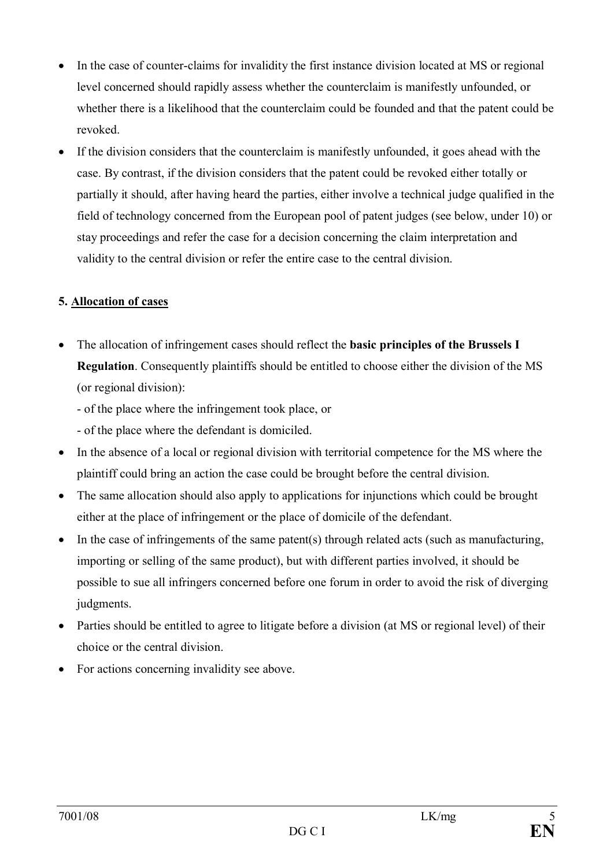- In the case of counter-claims for invalidity the first instance division located at MS or regional level concerned should rapidly assess whether the counterclaim is manifestly unfounded, or whether there is a likelihood that the counterclaim could be founded and that the patent could be revoked.
- · If the division considers that the counterclaim is manifestly unfounded, it goes ahead with the case. By contrast, if the division considers that the patent could be revoked either totally or partially it should, after having heard the parties, either involve a technical judge qualified in the field of technology concerned from the European pool of patent judges (see below, under 10) or stay proceedings and refer the case for a decision concerning the claim interpretation and validity to the central division or refer the entire case to the central division.

## **5. Allocation of cases**

- · The allocation of infringement cases should reflect the **basic principles of the Brussels I Regulation**. Consequently plaintiffs should be entitled to choose either the division of the MS (or regional division):
	- of the place where the infringement took place, or
	- of the place where the defendant is domiciled.
- · In the absence of a local or regional division with territorial competence for the MS where the plaintiff could bring an action the case could be brought before the central division.
- The same allocation should also apply to applications for injunctions which could be brought either at the place of infringement or the place of domicile of the defendant.
- In the case of infringements of the same patent(s) through related acts (such as manufacturing, importing or selling of the same product), but with different parties involved, it should be possible to sue all infringers concerned before one forum in order to avoid the risk of diverging judgments.
- · Parties should be entitled to agree to litigate before a division (at MS or regional level) of their choice or the central division.
- · For actions concerning invalidity see above.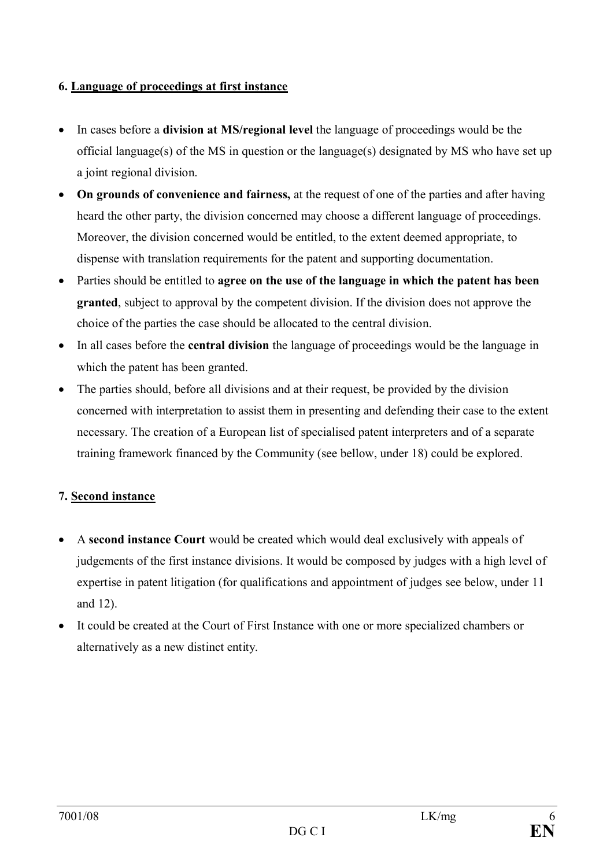### **6. Language of proceedings at first instance**

- · In cases before a **division at MS/regional level** the language of proceedings would be the official language(s) of the MS in question or the language(s) designated by MS who have set up a joint regional division.
- · **On grounds of convenience and fairness,** at the request of one of the parties and after having heard the other party, the division concerned may choose a different language of proceedings. Moreover, the division concerned would be entitled, to the extent deemed appropriate, to dispense with translation requirements for the patent and supporting documentation.
- · Parties should be entitled to **agree on the use of the language in which the patent has been granted**, subject to approval by the competent division. If the division does not approve the choice of the parties the case should be allocated to the central division.
- · In all cases before the **central division** the language of proceedings would be the language in which the patent has been granted.
- The parties should, before all divisions and at their request, be provided by the division concerned with interpretation to assist them in presenting and defending their case to the extent necessary. The creation of a European list of specialised patent interpreters and of a separate training framework financed by the Community (see bellow, under 18) could be explored.

# **7. Second instance**

- · A **second instance Court** would be created which would deal exclusively with appeals of judgements of the first instance divisions. It would be composed by judges with a high level of expertise in patent litigation (for qualifications and appointment of judges see below, under 11 and 12).
- · It could be created at the Court of First Instance with one or more specialized chambers or alternatively as a new distinct entity.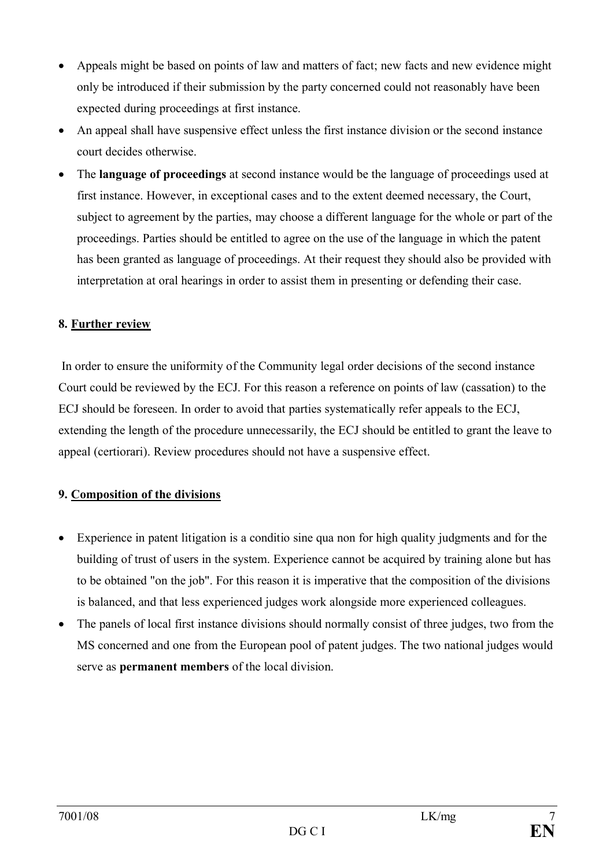- · Appeals might be based on points of law and matters of fact; new facts and new evidence might only be introduced if their submission by the party concerned could not reasonably have been expected during proceedings at first instance.
- An appeal shall have suspensive effect unless the first instance division or the second instance court decides otherwise.
- · The **language of proceedings** at second instance would be the language of proceedings used at first instance. However, in exceptional cases and to the extent deemed necessary, the Court, subject to agreement by the parties, may choose a different language for the whole or part of the proceedings. Parties should be entitled to agree on the use of the language in which the patent has been granted as language of proceedings. At their request they should also be provided with interpretation at oral hearings in order to assist them in presenting or defending their case.

### **8. Further review**

In order to ensure the uniformity of the Community legal order decisions of the second instance Court could be reviewed by the ECJ. For this reason a reference on points of law (cassation) to the ECJ should be foreseen. In order to avoid that parties systematically refer appeals to the ECJ, extending the length of the procedure unnecessarily, the ECJ should be entitled to grant the leave to appeal (certiorari). Review procedures should not have a suspensive effect.

### **9. Composition of the divisions**

- Experience in patent litigation is a conditio sine qua non for high quality judgments and for the building of trust of users in the system. Experience cannot be acquired by training alone but has to be obtained "on the job". For this reason it is imperative that the composition of the divisions is balanced, and that less experienced judges work alongside more experienced colleagues.
- · The panels of local first instance divisions should normally consist of three judges, two from the MS concerned and one from the European pool of patent judges. The two national judges would serve as **permanent members** of the local division.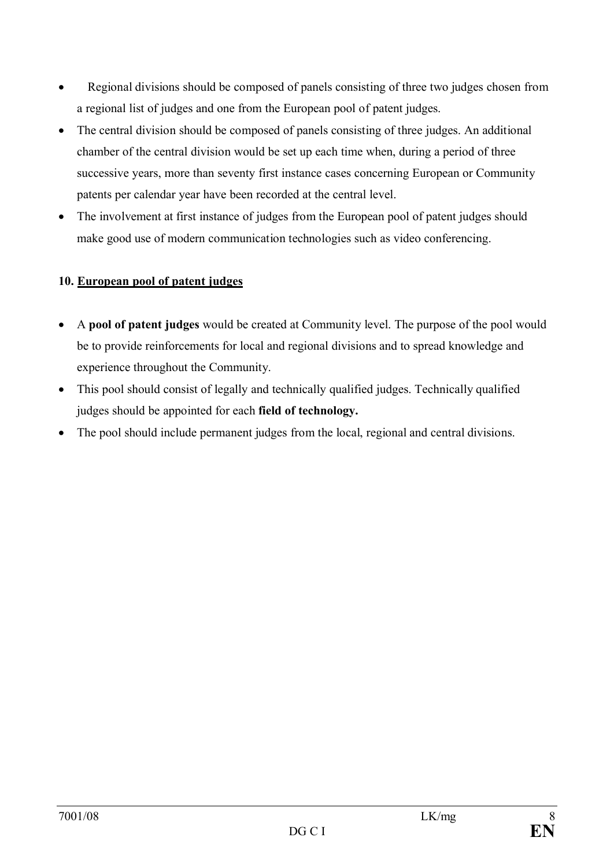- · Regional divisions should be composed of panels consisting of three two judges chosen from a regional list of judges and one from the European pool of patent judges.
- The central division should be composed of panels consisting of three judges. An additional chamber of the central division would be set up each time when, during a period of three successive years, more than seventy first instance cases concerning European or Community patents per calendar year have been recorded at the central level.
- The involvement at first instance of judges from the European pool of patent judges should make good use of modern communication technologies such as video conferencing.

# **10. European pool of patent judges**

- · A **pool of patent judges** would be created at Community level. The purpose of the pool would be to provide reinforcements for local and regional divisions and to spread knowledge and experience throughout the Community.
- This pool should consist of legally and technically qualified judges. Technically qualified judges should be appointed for each **field of technology.**
- The pool should include permanent judges from the local, regional and central divisions.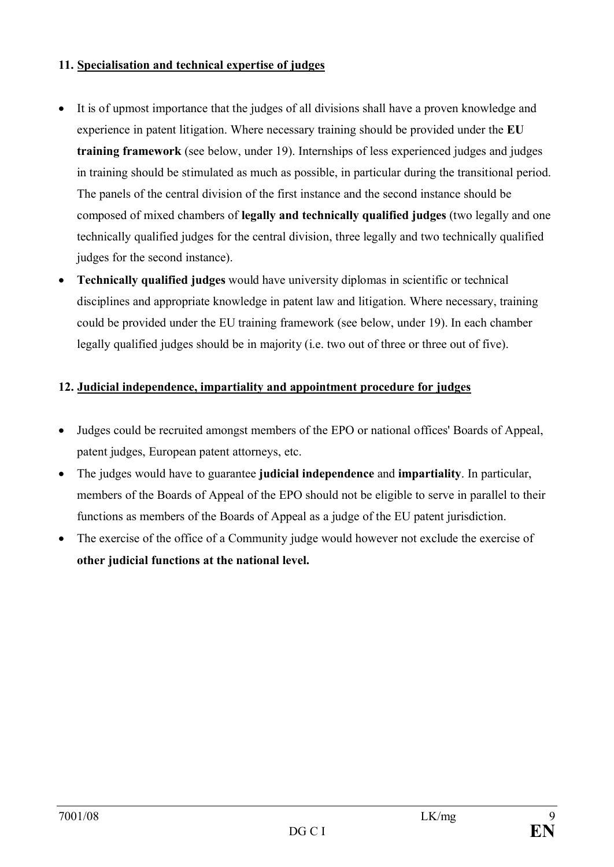### **11. Specialisation and technical expertise of judges**

- It is of upmost importance that the judges of all divisions shall have a proven knowledge and experience in patent litigation. Where necessary training should be provided under the **EU training framework** (see below, under 19). Internships of less experienced judges and judges in training should be stimulated as much as possible, in particular during the transitional period. The panels of the central division of the first instance and the second instance should be composed of mixed chambers of **legally and technically qualified judges** (two legally and one technically qualified judges for the central division, three legally and two technically qualified judges for the second instance).
- · **Technically qualified judges** would have university diplomas in scientific or technical disciplines and appropriate knowledge in patent law and litigation. Where necessary, training could be provided under the EU training framework (see below, under 19). In each chamber legally qualified judges should be in majority (i.e. two out of three or three out of five).

## **12. Judicial independence, impartiality and appointment procedure for judges**

- · Judges could be recruited amongst members of the EPO or national offices' Boards of Appeal, patent judges, European patent attorneys, etc.
- · The judges would have to guarantee **judicial independence** and **impartiality**. In particular, members of the Boards of Appeal of the EPO should not be eligible to serve in parallel to their functions as members of the Boards of Appeal as a judge of the EU patent jurisdiction.
- The exercise of the office of a Community judge would however not exclude the exercise of **other judicial functions at the national level.**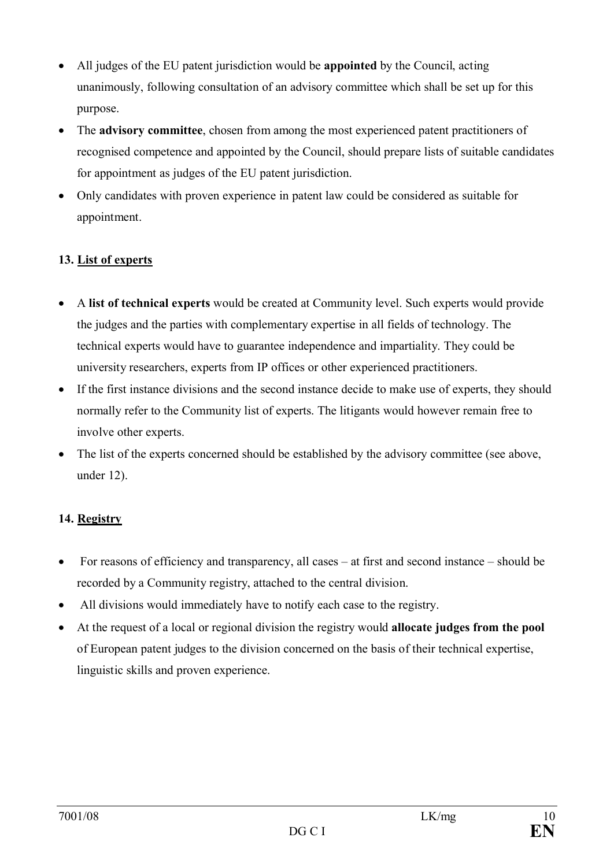- · All judges of the EU patent jurisdiction would be **appointed** by the Council, acting unanimously, following consultation of an advisory committee which shall be set up for this purpose.
- · The **advisory committee**, chosen from among the most experienced patent practitioners of recognised competence and appointed by the Council, should prepare lists of suitable candidates for appointment as judges of the EU patent jurisdiction.
- · Only candidates with proven experience in patent law could be considered as suitable for appointment.

# **13. List of experts**

- · A **list of technical experts** would be created at Community level. Such experts would provide the judges and the parties with complementary expertise in all fields of technology. The technical experts would have to guarantee independence and impartiality. They could be university researchers, experts from IP offices or other experienced practitioners.
- If the first instance divisions and the second instance decide to make use of experts, they should normally refer to the Community list of experts. The litigants would however remain free to involve other experts.
- The list of the experts concerned should be established by the advisory committee (see above, under 12).

# **14. Registry**

- For reasons of efficiency and transparency, all cases at first and second instance should be recorded by a Community registry, attached to the central division.
- · All divisions would immediately have to notify each case to the registry.
- · At the request of a local or regional division the registry would **allocate judges from the pool** of European patent judges to the division concerned on the basis of their technical expertise, linguistic skills and proven experience.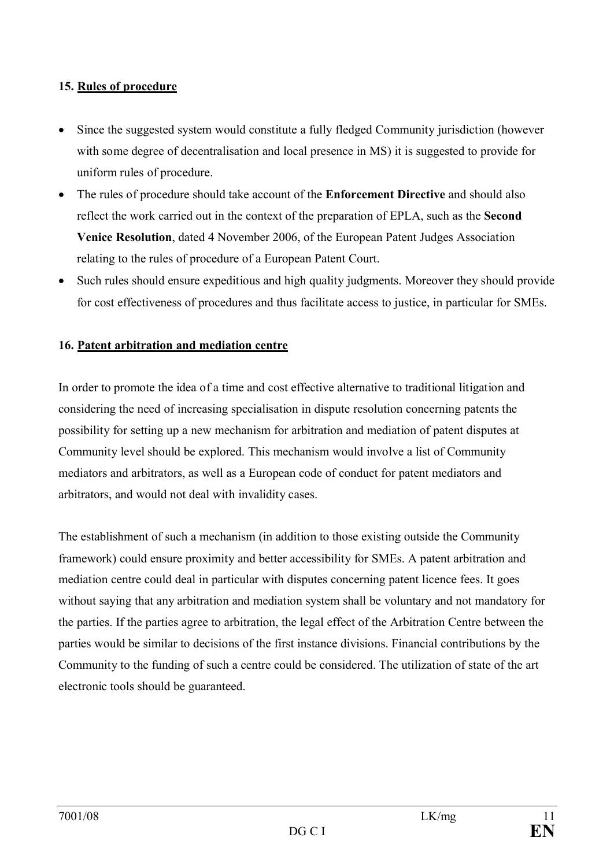### **15. Rules of procedure**

- · Since the suggested system would constitute a fully fledged Community jurisdiction (however with some degree of decentralisation and local presence in MS) it is suggested to provide for uniform rules of procedure.
- · The rules of procedure should take account of the **Enforcement Directive** and should also reflect the work carried out in the context of the preparation of EPLA, such as the **Second Venice Resolution**, dated 4 November 2006, of the European Patent Judges Association relating to the rules of procedure of a European Patent Court.
- Such rules should ensure expeditious and high quality judgments. Moreover they should provide for cost effectiveness of procedures and thus facilitate access to justice, in particular for SMEs.

## **16. Patent arbitration and mediation centre**

In order to promote the idea of a time and cost effective alternative to traditional litigation and considering the need of increasing specialisation in dispute resolution concerning patents the possibility for setting up a new mechanism for arbitration and mediation of patent disputes at Community level should be explored. This mechanism would involve a list of Community mediators and arbitrators, as well as a European code of conduct for patent mediators and arbitrators, and would not deal with invalidity cases.

The establishment of such a mechanism (in addition to those existing outside the Community framework) could ensure proximity and better accessibility for SMEs. A patent arbitration and mediation centre could deal in particular with disputes concerning patent licence fees. It goes without saying that any arbitration and mediation system shall be voluntary and not mandatory for the parties. If the parties agree to arbitration, the legal effect of the Arbitration Centre between the parties would be similar to decisions of the first instance divisions. Financial contributions by the Community to the funding of such a centre could be considered. The utilization of state of the art electronic tools should be guaranteed.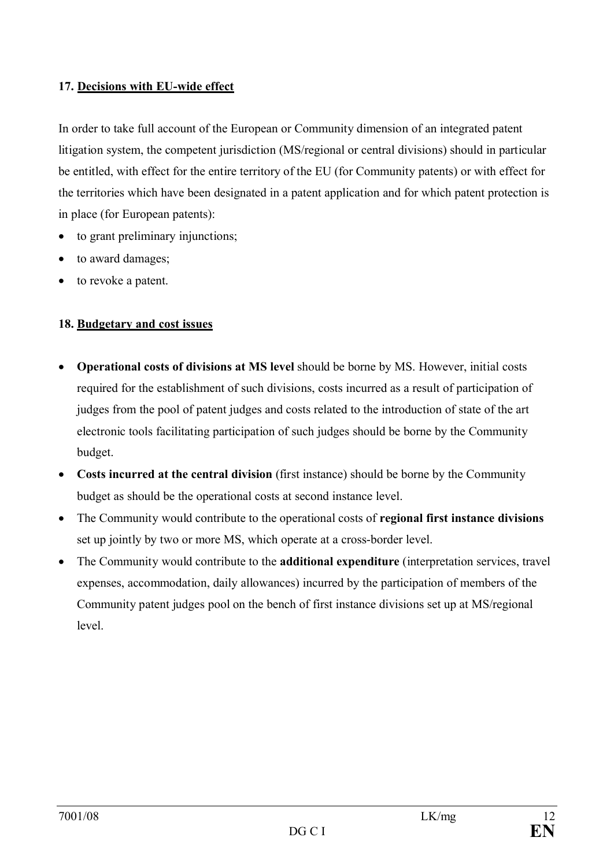### **17. Decisions with EU-wide effect**

In order to take full account of the European or Community dimension of an integrated patent litigation system, the competent jurisdiction (MS/regional or central divisions) should in particular be entitled, with effect for the entire territory of the EU (for Community patents) or with effect for the territories which have been designated in a patent application and for which patent protection is in place (for European patents):

- to grant preliminary injunctions;
- to award damages;
- to revoke a patent.

### **18. Budgetary and cost issues**

- · **Operational costs of divisions at MS level** should be borne by MS. However, initial costs required for the establishment of such divisions, costs incurred as a result of participation of judges from the pool of patent judges and costs related to the introduction of state of the art electronic tools facilitating participation of such judges should be borne by the Community budget.
- · **Costs incurred at the central division** (first instance) should be borne by the Community budget as should be the operational costs at second instance level.
- · The Community would contribute to the operational costs of **regional first instance divisions** set up jointly by two or more MS, which operate at a cross-border level.
- · The Community would contribute to the **additional expenditure** (interpretation services, travel expenses, accommodation, daily allowances) incurred by the participation of members of the Community patent judges pool on the bench of first instance divisions set up at MS/regional level.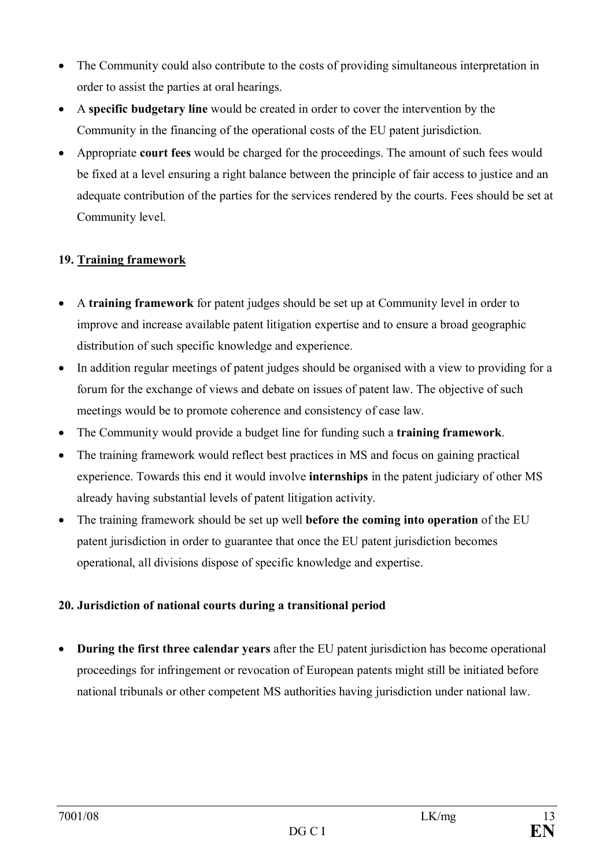- The Community could also contribute to the costs of providing simultaneous interpretation in order to assist the parties at oral hearings.
- · A **specific budgetary line** would be created in order to cover the intervention by the Community in the financing of the operational costs of the EU patent jurisdiction.
- · Appropriate **court fees** would be charged for the proceedings. The amount of such fees would be fixed at a level ensuring a right balance between the principle of fair access to justice and an adequate contribution of the parties for the services rendered by the courts. Fees should be set at Community level.

# **19. Training framework**

- · A **training framework** for patent judges should be set up at Community level in order to improve and increase available patent litigation expertise and to ensure a broad geographic distribution of such specific knowledge and experience.
- In addition regular meetings of patent judges should be organised with a view to providing for a forum for the exchange of views and debate on issues of patent law. The objective of such meetings would be to promote coherence and consistency of case law.
- · The Community would provide a budget line for funding such a **training framework**.
- The training framework would reflect best practices in MS and focus on gaining practical experience. Towards this end it would involve **internships** in the patent judiciary of other MS already having substantial levels of patent litigation activity.
- · The training framework should be set up well **before the coming into operation** of the EU patent jurisdiction in order to guarantee that once the EU patent jurisdiction becomes operational, all divisions dispose of specific knowledge and expertise.

# **20. Jurisdiction of national courts during a transitional period**

· **During the first three calendar years** after the EU patent jurisdiction has become operational proceedings for infringement or revocation of European patents might still be initiated before national tribunals or other competent MS authorities having jurisdiction under national law.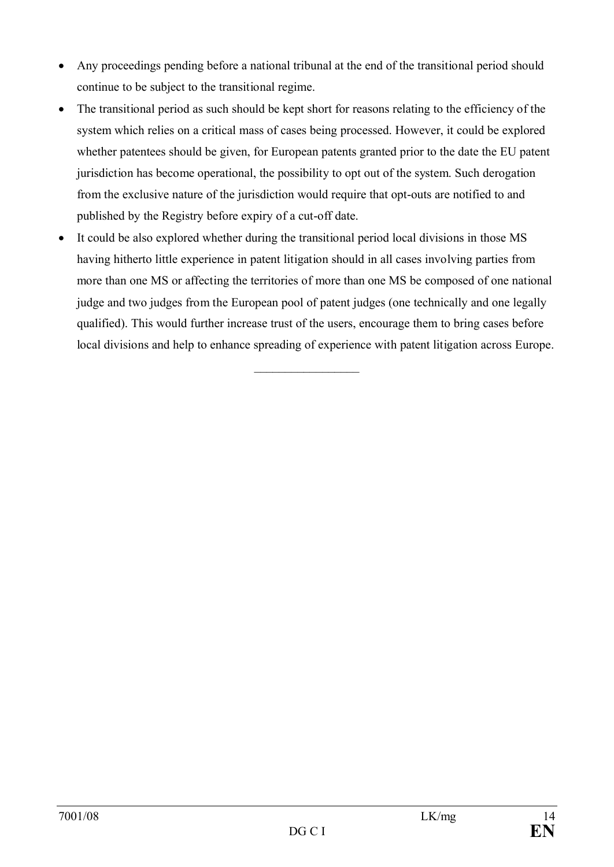- Any proceedings pending before a national tribunal at the end of the transitional period should continue to be subject to the transitional regime.
- The transitional period as such should be kept short for reasons relating to the efficiency of the system which relies on a critical mass of cases being processed. However, it could be explored whether patentees should be given, for European patents granted prior to the date the EU patent jurisdiction has become operational, the possibility to opt out of the system. Such derogation from the exclusive nature of the jurisdiction would require that opt-outs are notified to and published by the Registry before expiry of a cut-off date.
- It could be also explored whether during the transitional period local divisions in those MS having hitherto little experience in patent litigation should in all cases involving parties from more than one MS or affecting the territories of more than one MS be composed of one national judge and two judges from the European pool of patent judges (one technically and one legally qualified). This would further increase trust of the users, encourage them to bring cases before local divisions and help to enhance spreading of experience with patent litigation across Europe.

 $\frac{1}{2}$  ,  $\frac{1}{2}$  ,  $\frac{1}{2}$  ,  $\frac{1}{2}$  ,  $\frac{1}{2}$  ,  $\frac{1}{2}$  ,  $\frac{1}{2}$  ,  $\frac{1}{2}$  ,  $\frac{1}{2}$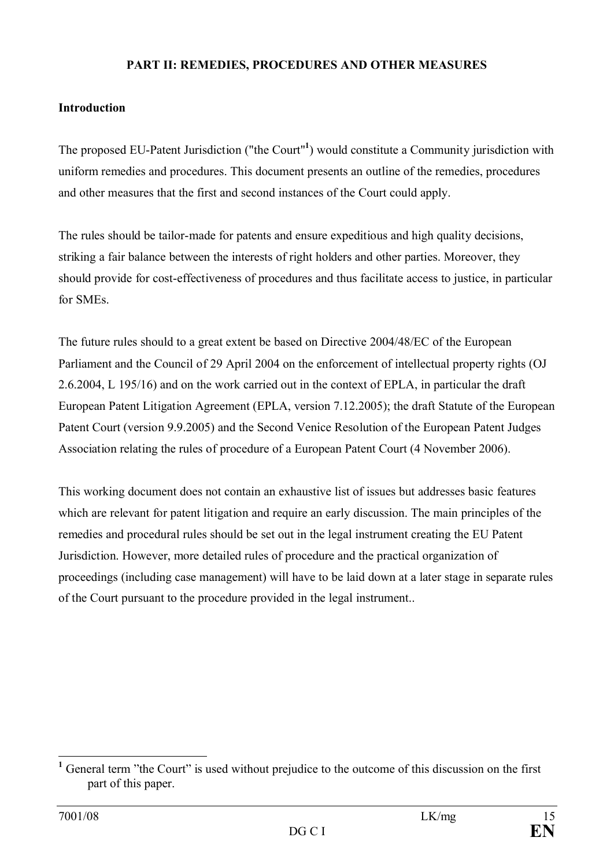### **PART II: REMEDIES, PROCEDURES AND OTHER MEASURES**

### **Introduction**

The proposed EU-Patent Jurisdiction ("the Court"**<sup>1</sup>** ) would constitute a Community jurisdiction with uniform remedies and procedures. This document presents an outline of the remedies, procedures and other measures that the first and second instances of the Court could apply.

The rules should be tailor-made for patents and ensure expeditious and high quality decisions, striking a fair balance between the interests of right holders and other parties. Moreover, they should provide for cost-effectiveness of procedures and thus facilitate access to justice, in particular for SMEs.

The future rules should to a great extent be based on Directive 2004/48/EC of the European Parliament and the Council of 29 April 2004 on the enforcement of intellectual property rights (OJ 2.6.2004, L 195/16) and on the work carried out in the context of EPLA, in particular the draft European Patent Litigation Agreement (EPLA, version 7.12.2005); the draft Statute of the European Patent Court (version 9.9.2005) and the Second Venice Resolution of the European Patent Judges Association relating the rules of procedure of a European Patent Court (4 November 2006).

This working document does not contain an exhaustive list of issues but addresses basic features which are relevant for patent litigation and require an early discussion. The main principles of the remedies and procedural rules should be set out in the legal instrument creating the EU Patent Jurisdiction. However, more detailed rules of procedure and the practical organization of proceedings (including case management) will have to be laid down at a later stage in separate rules of the Court pursuant to the procedure provided in the legal instrument..

<sup>&</sup>lt;sup>1</sup> General term "the Court" is used without prejudice to the outcome of this discussion on the first part of this paper.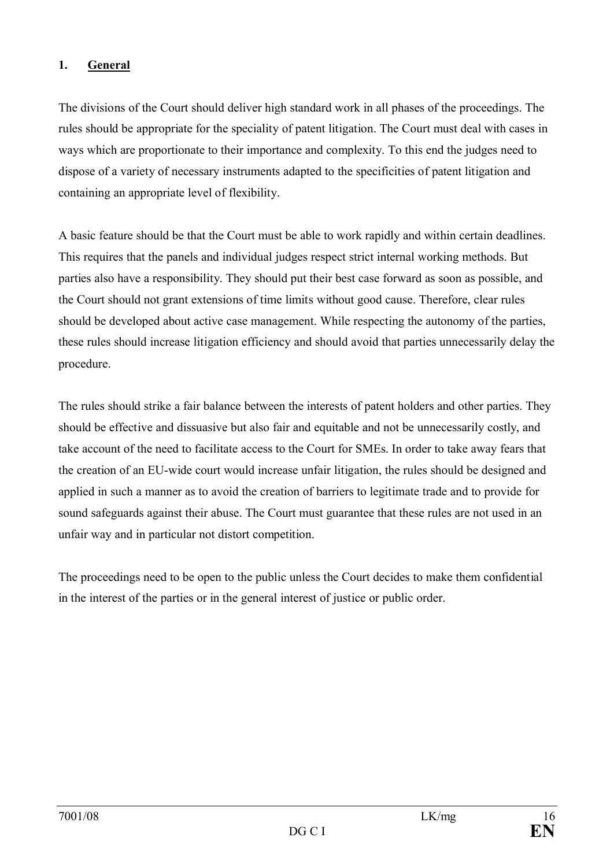## **1. General**

The divisions of the Court should deliver high standard work in all phases of the proceedings. The rules should be appropriate for the speciality of patent litigation. The Court must deal with cases in ways which are proportionate to their importance and complexity. To this end the judges need to dispose of a variety of necessary instruments adapted to the specificities of patent litigation and containing an appropriate level of flexibility.

A basic feature should be that the Court must be able to work rapidly and within certain deadlines. This requires that the panels and individual judges respect strict internal working methods. But parties also have a responsibility. They should put their best case forward as soon as possible, and the Court should not grant extensions of time limits without good cause. Therefore, clear rules should be developed about active case management. While respecting the autonomy of the parties, these rules should increase litigation efficiency and should avoid that parties unnecessarily delay the procedure.

The rules should strike a fair balance between the interests of patent holders and other parties. They should be effective and dissuasive but also fair and equitable and not be unnecessarily costly, and take account of the need to facilitate access to the Court for SMEs. In order to take away fears that the creation of an EU-wide court would increase unfair litigation, the rules should be designed and applied in such a manner as to avoid the creation of barriers to legitimate trade and to provide for sound safeguards against their abuse. The Court must guarantee that these rules are not used in an unfair way and in particular not distort competition.

The proceedings need to be open to the public unless the Court decides to make them confidential in the interest of the parties or in the general interest of justice or public order.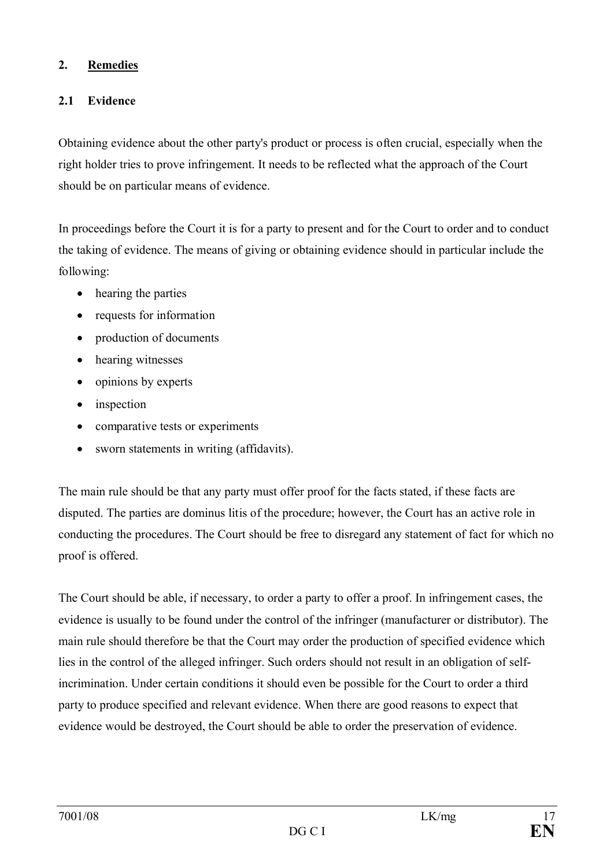### **2. Remedies**

## **2.1 Evidence**

Obtaining evidence about the other party's product or process is often crucial, especially when the right holder tries to prove infringement. It needs to be reflected what the approach of the Court should be on particular means of evidence.

In proceedings before the Court it is for a party to present and for the Court to order and to conduct the taking of evidence. The means of giving or obtaining evidence should in particular include the following:

- hearing the parties
- requests for information
- production of documents
- hearing witnesses
- opinions by experts
- inspection
- comparative tests or experiments
- · sworn statements in writing (affidavits).

The main rule should be that any party must offer proof for the facts stated, if these facts are disputed. The parties are dominus litis of the procedure; however, the Court has an active role in conducting the procedures. The Court should be free to disregard any statement of fact for which no proof is offered.

The Court should be able, if necessary, to order a party to offer a proof. In infringement cases, the evidence is usually to be found under the control of the infringer (manufacturer or distributor). The main rule should therefore be that the Court may order the production of specified evidence which lies in the control of the alleged infringer. Such orders should not result in an obligation of selfincrimination. Under certain conditions it should even be possible for the Court to order a third party to produce specified and relevant evidence. When there are good reasons to expect that evidence would be destroyed, the Court should be able to order the preservation of evidence.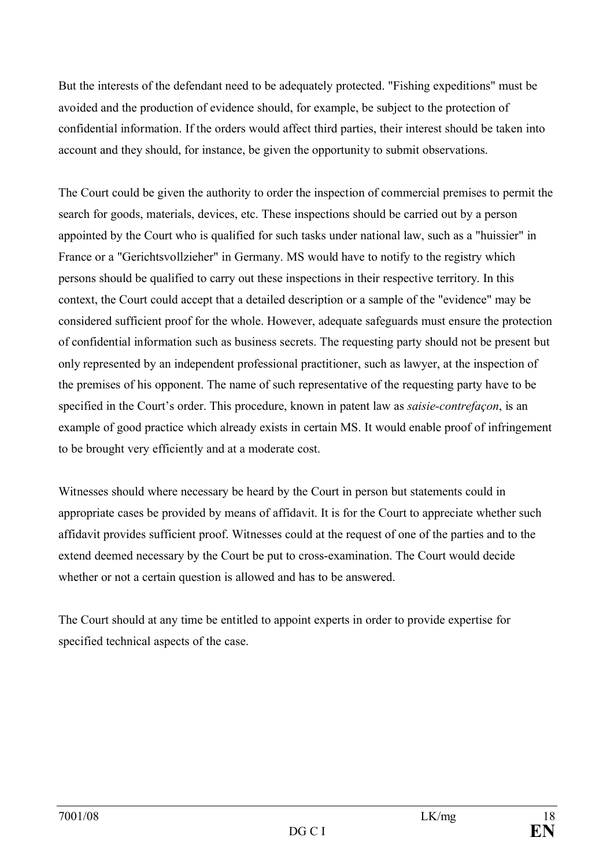But the interests of the defendant need to be adequately protected. "Fishing expeditions" must be avoided and the production of evidence should, for example, be subject to the protection of confidential information. If the orders would affect third parties, their interest should be taken into account and they should, for instance, be given the opportunity to submit observations.

The Court could be given the authority to order the inspection of commercial premises to permit the search for goods, materials, devices, etc. These inspections should be carried out by a person appointed by the Court who is qualified for such tasks under national law, such as a "huissier" in France or a "Gerichtsvollzieher" in Germany. MS would have to notify to the registry which persons should be qualified to carry out these inspections in their respective territory. In this context, the Court could accept that a detailed description or a sample of the "evidence" may be considered sufficient proof for the whole. However, adequate safeguards must ensure the protection of confidential information such as business secrets. The requesting party should not be present but only represented by an independent professional practitioner, such as lawyer, at the inspection of the premises of his opponent. The name of such representative of the requesting party have to be specified in the Court's order. This procedure, known in patent law as *saisie-contrefaçon*, is an example of good practice which already exists in certain MS. It would enable proof of infringement to be brought very efficiently and at a moderate cost.

Witnesses should where necessary be heard by the Court in person but statements could in appropriate cases be provided by means of affidavit. It is for the Court to appreciate whether such affidavit provides sufficient proof. Witnesses could at the request of one of the parties and to the extend deemed necessary by the Court be put to cross-examination. The Court would decide whether or not a certain question is allowed and has to be answered.

The Court should at any time be entitled to appoint experts in order to provide expertise for specified technical aspects of the case.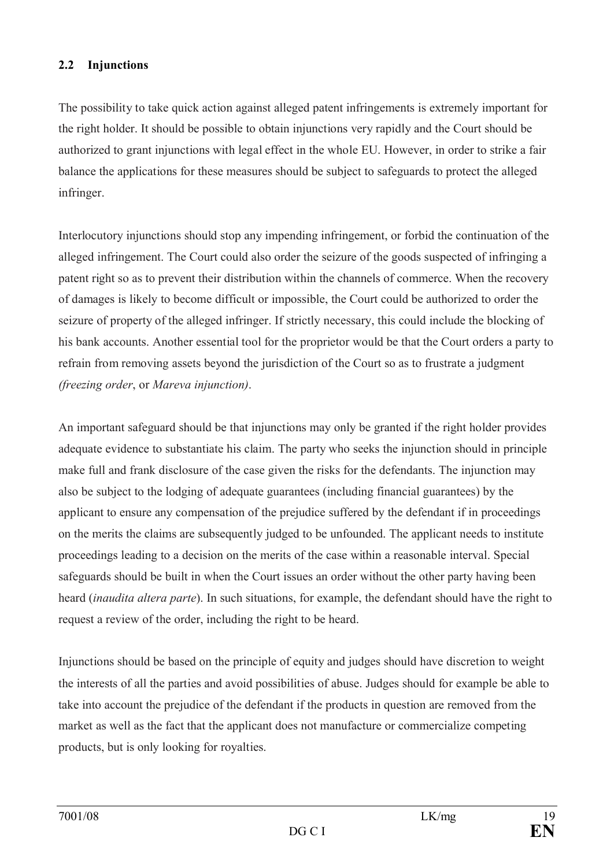## **2.2 Injunctions**

The possibility to take quick action against alleged patent infringements is extremely important for the right holder. It should be possible to obtain injunctions very rapidly and the Court should be authorized to grant injunctions with legal effect in the whole EU. However, in order to strike a fair balance the applications for these measures should be subject to safeguards to protect the alleged infringer.

Interlocutory injunctions should stop any impending infringement, or forbid the continuation of the alleged infringement. The Court could also order the seizure of the goods suspected of infringing a patent right so as to prevent their distribution within the channels of commerce. When the recovery of damages is likely to become difficult or impossible, the Court could be authorized to order the seizure of property of the alleged infringer. If strictly necessary, this could include the blocking of his bank accounts. Another essential tool for the proprietor would be that the Court orders a party to refrain from removing assets beyond the jurisdiction of the Court so as to frustrate a judgment *(freezing order*, or *Mareva injunction)*.

An important safeguard should be that injunctions may only be granted if the right holder provides adequate evidence to substantiate his claim. The party who seeks the injunction should in principle make full and frank disclosure of the case given the risks for the defendants. The injunction may also be subject to the lodging of adequate guarantees (including financial guarantees) by the applicant to ensure any compensation of the prejudice suffered by the defendant if in proceedings on the merits the claims are subsequently judged to be unfounded. The applicant needs to institute proceedings leading to a decision on the merits of the case within a reasonable interval. Special safeguards should be built in when the Court issues an order without the other party having been heard (*inaudita altera parte*). In such situations, for example, the defendant should have the right to request a review of the order, including the right to be heard.

Injunctions should be based on the principle of equity and judges should have discretion to weight the interests of all the parties and avoid possibilities of abuse. Judges should for example be able to take into account the prejudice of the defendant if the products in question are removed from the market as well as the fact that the applicant does not manufacture or commercialize competing products, but is only looking for royalties.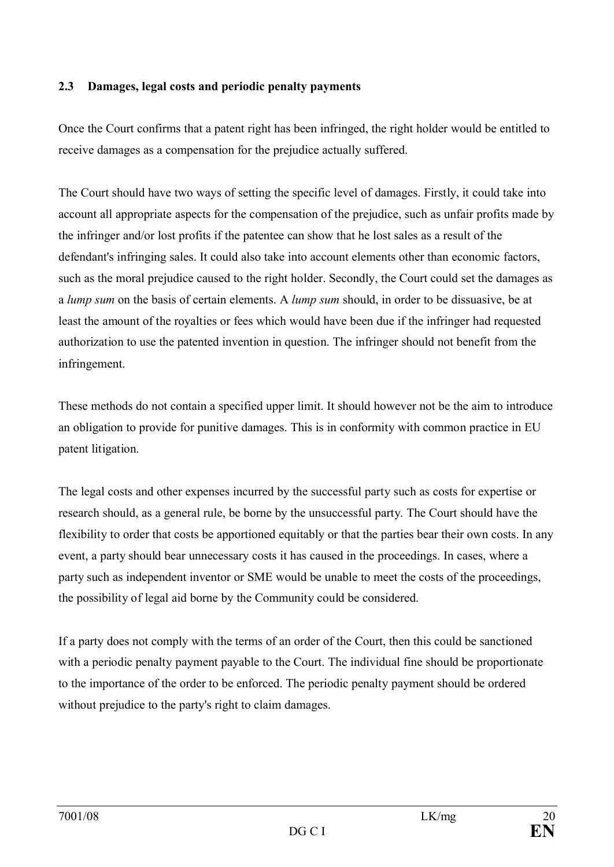### **2.3 Damages, legal costs and periodic penalty payments**

Once the Court confirms that a patent right has been infringed, the right holder would be entitled to receive damages as a compensation for the prejudice actually suffered.

The Court should have two ways of setting the specific level of damages. Firstly, it could take into account all appropriate aspects for the compensation of the prejudice, such as unfair profits made by the infringer and/or lost profits if the patentee can show that he lost sales as a result of the defendant's infringing sales. It could also take into account elements other than economic factors, such as the moral prejudice caused to the right holder. Secondly, the Court could set the damages as a *lump sum* on the basis of certain elements. A *lump sum* should, in order to be dissuasive, be at least the amount of the royalties or fees which would have been due if the infringer had requested authorization to use the patented invention in question. The infringer should not benefit from the infringement.

These methods do not contain a specified upper limit. It should however not be the aim to introduce an obligation to provide for punitive damages. This is in conformity with common practice in EU patent litigation.

The legal costs and other expenses incurred by the successful party such as costs for expertise or research should, as a general rule, be borne by the unsuccessful party. The Court should have the flexibility to order that costs be apportioned equitably or that the parties bear their own costs. In any event, a party should bear unnecessary costs it has caused in the proceedings. In cases, where a party such as independent inventor or SME would be unable to meet the costs of the proceedings, the possibility of legal aid borne by the Community could be considered.

If a party does not comply with the terms of an order of the Court, then this could be sanctioned with a periodic penalty payment payable to the Court. The individual fine should be proportionate to the importance of the order to be enforced. The periodic penalty payment should be ordered without prejudice to the party's right to claim damages.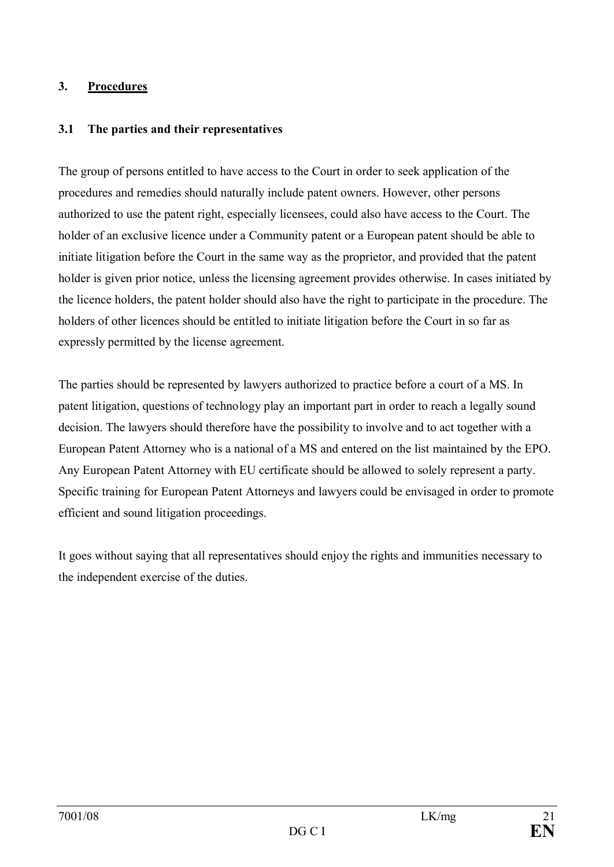### **3. Procedures**

### **3.1 The parties and their representatives**

The group of persons entitled to have access to the Court in order to seek application of the procedures and remedies should naturally include patent owners. However, other persons authorized to use the patent right, especially licensees, could also have access to the Court. The holder of an exclusive licence under a Community patent or a European patent should be able to initiate litigation before the Court in the same way as the proprietor, and provided that the patent holder is given prior notice, unless the licensing agreement provides otherwise. In cases initiated by the licence holders, the patent holder should also have the right to participate in the procedure. The holders of other licences should be entitled to initiate litigation before the Court in so far as expressly permitted by the license agreement.

The parties should be represented by lawyers authorized to practice before a court of a MS. In patent litigation, questions of technology play an important part in order to reach a legally sound decision. The lawyers should therefore have the possibility to involve and to act together with a European Patent Attorney who is a national of a MS and entered on the list maintained by the EPO. Any European Patent Attorney with EU certificate should be allowed to solely represent a party. Specific training for European Patent Attorneys and lawyers could be envisaged in order to promote efficient and sound litigation proceedings.

It goes without saying that all representatives should enjoy the rights and immunities necessary to the independent exercise of the duties.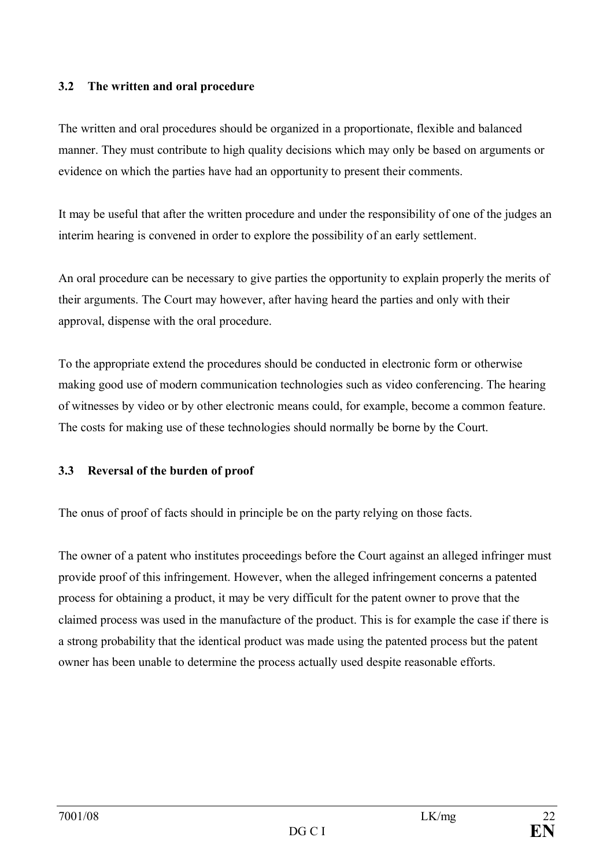### **3.2 The written and oral procedure**

The written and oral procedures should be organized in a proportionate, flexible and balanced manner. They must contribute to high quality decisions which may only be based on arguments or evidence on which the parties have had an opportunity to present their comments.

It may be useful that after the written procedure and under the responsibility of one of the judges an interim hearing is convened in order to explore the possibility of an early settlement.

An oral procedure can be necessary to give parties the opportunity to explain properly the merits of their arguments. The Court may however, after having heard the parties and only with their approval, dispense with the oral procedure.

To the appropriate extend the procedures should be conducted in electronic form or otherwise making good use of modern communication technologies such as video conferencing. The hearing of witnesses by video or by other electronic means could, for example, become a common feature. The costs for making use of these technologies should normally be borne by the Court.

### **3.3 Reversal of the burden of proof**

The onus of proof of facts should in principle be on the party relying on those facts.

The owner of a patent who institutes proceedings before the Court against an alleged infringer must provide proof of this infringement. However, when the alleged infringement concerns a patented process for obtaining a product, it may be very difficult for the patent owner to prove that the claimed process was used in the manufacture of the product. This is for example the case if there is a strong probability that the identical product was made using the patented process but the patent owner has been unable to determine the process actually used despite reasonable efforts.